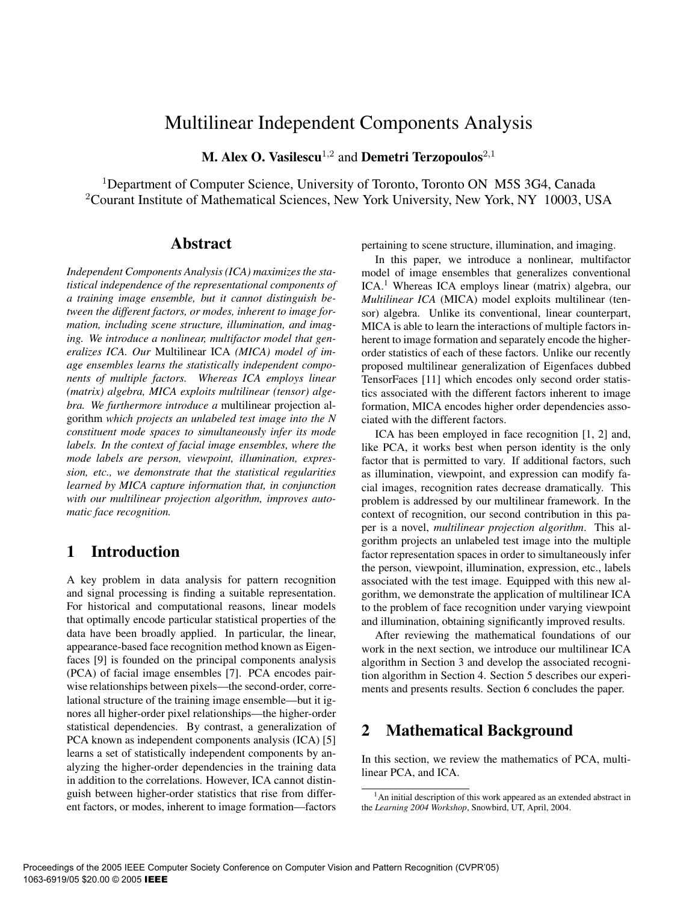# Multilinear Independent Components Analysis

**M. Alex O. Vasilescu**<sup>1,2</sup> and **Demetri Terzopoulos**<sup>2,1</sup>

<sup>1</sup>Department of Computer Science, University of Toronto, Toronto ON M5S 3G4, Canada <sup>2</sup>Courant Institute of Mathematical Sciences, New York University, New York, NY 10003, USA

#### **Abstract**

*Independent Components Analysis (ICA) maximizes the statistical independence of the representational components of a training image ensemble, but it cannot distinguish between the different factors, or modes, inherent to image formation, including scene structure, illumination, and imaging. We introduce a nonlinear, multifactor model that generalizes ICA. Our* Multilinear ICA *(MICA) model of image ensembles learns the statistically independent components of multiple factors. Whereas ICA employs linear (matrix) algebra, MICA exploits multilinear (tensor) algebra. We furthermore introduce a* multilinear projection algorithm *which projects an unlabeled test image into the N constituent mode spaces to simultaneously infer its mode labels. In the context of facial image ensembles, where the mode labels are person, viewpoint, illumination, expression, etc., we demonstrate that the statistical regularities learned by MICA capture information that, in conjunction with our multilinear projection algorithm, improves automatic face recognition.*

### **1 Introduction**

A key problem in data analysis for pattern recognition and signal processing is finding a suitable representation. For historical and computational reasons, linear models that optimally encode particular statistical properties of the data have been broadly applied. In particular, the linear, appearance-based face recognition method known as Eigenfaces [9] is founded on the principal components analysis (PCA) of facial image ensembles [7]. PCA encodes pairwise relationships between pixels—the second-order, correlational structure of the training image ensemble—but it ignores all higher-order pixel relationships—the higher-order statistical dependencies. By contrast, a generalization of PCA known as independent components analysis (ICA) [5] learns a set of statistically independent components by analyzing the higher-order dependencies in the training data in addition to the correlations. However, ICA cannot distinguish between higher-order statistics that rise from different factors, or modes, inherent to image formation—factors

pertaining to scene structure, illumination, and imaging.

In this paper, we introduce a nonlinear, multifactor model of image ensembles that generalizes conventional ICA.<sup>1</sup> Whereas ICA employs linear (matrix) algebra, our *Multilinear ICA* (MICA) model exploits multilinear (tensor) algebra. Unlike its conventional, linear counterpart, MICA is able to learn the interactions of multiple factors inherent to image formation and separately encode the higherorder statistics of each of these factors. Unlike our recently proposed multilinear generalization of Eigenfaces dubbed TensorFaces [11] which encodes only second order statistics associated with the different factors inherent to image formation, MICA encodes higher order dependencies associated with the different factors.

ICA has been employed in face recognition [1, 2] and, like PCA, it works best when person identity is the only factor that is permitted to vary. If additional factors, such as illumination, viewpoint, and expression can modify facial images, recognition rates decrease dramatically. This problem is addressed by our multilinear framework. In the context of recognition, our second contribution in this paper is a novel, *multilinear projection algorithm*. This algorithm projects an unlabeled test image into the multiple factor representation spaces in order to simultaneously infer the person, viewpoint, illumination, expression, etc., labels associated with the test image. Equipped with this new algorithm, we demonstrate the application of multilinear ICA to the problem of face recognition under varying viewpoint and illumination, obtaining significantly improved results.

After reviewing the mathematical foundations of our work in the next section, we introduce our multilinear ICA algorithm in Section 3 and develop the associated recognition algorithm in Section 4. Section 5 describes our experiments and presents results. Section 6 concludes the paper.

## **2 Mathematical Background**

In this section, we review the mathematics of PCA, multilinear PCA, and ICA.

<sup>&</sup>lt;sup>1</sup>An initial description of this work appeared as an extended abstract in the *Learning 2004 Workshop*, Snowbird, UT, April, 2004.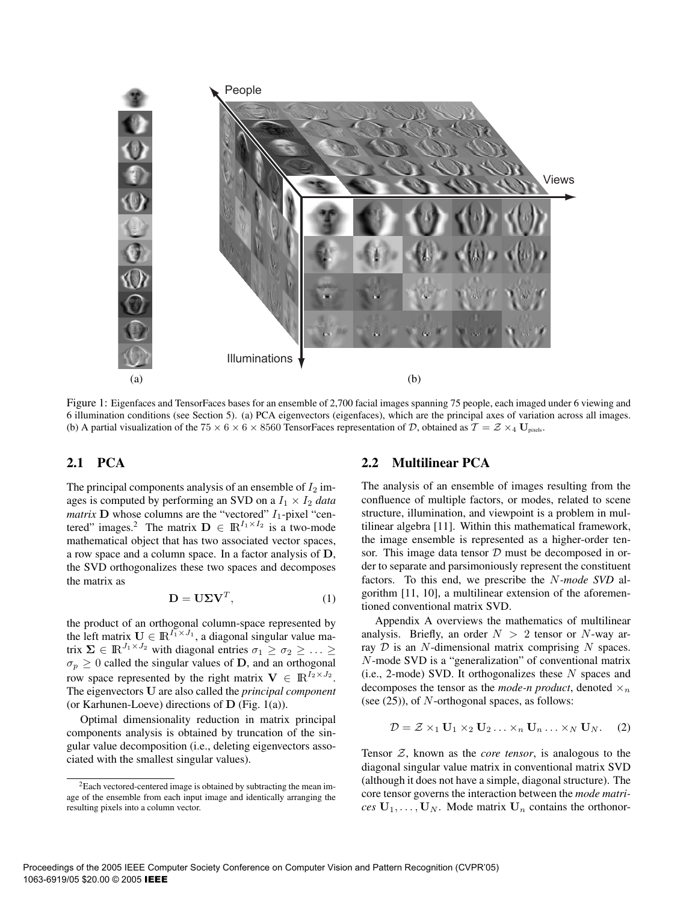

Figure 1: Eigenfaces and TensorFaces bases for an ensemble of 2,700 facial images spanning 75 people, each imaged under 6 viewing and 6 illumination conditions (see Section 5). (a) PCA eigenvectors (eigenfaces), which are the principal axes of variation across all images. (b) A partial visualization of the 75  $\times$  6  $\times$  6  $\times$  8560 TensorFaces representation of D, obtained as  $\mathcal{T} = \mathcal{Z} \times 4$  U<sub>pixels</sub>.

#### **2.1 PCA**

The principal components analysis of an ensemble of  $I_2$  images is computed by performing an SVD on a  $I_1 \times I_2$  *data matrix*  $\bf{D}$  whose columns are the "vectored"  $I_1$ -pixel "centered" images.<sup>2</sup> The matrix  $\mathbf{D} \in \mathbb{R}^{I_1 \times I_2}$  is a two-mode mathematical object that has two associated vector spaces, a row space and a column space. In a factor analysis of **D**, the SVD orthogonalizes these two spaces and decomposes the matrix as

$$
\mathbf{D} = \mathbf{U} \Sigma \mathbf{V}^T, \tag{1}
$$

the product of an orthogonal column-space represented by the left matrix  $\mathbf{U} \in \mathbb{R}^{I_1 \times J_1}$ , a diagonal singular value matrix  $\Sigma \in \mathbb{R}^{J_1 \times J_2}$  with diagonal entries  $\sigma_1 \ge \sigma_2 \ge \dots \ge$  $\sigma_p \geq 0$  called the singular values of **D**, and an orthogonal row space represented by the right matrix  $V \in \mathbb{R}^{I_2 \times J_2}$ . The eigenvectors **U** are also called the *principal component* (or Karhunen-Loeve) directions of **D** (Fig. 1(a)).

Optimal dimensionality reduction in matrix principal components analysis is obtained by truncation of the singular value decomposition (i.e., deleting eigenvectors associated with the smallest singular values).

#### **2.2 Multilinear PCA**

The analysis of an ensemble of images resulting from the confluence of multiple factors, or modes, related to scene structure, illumination, and viewpoint is a problem in multilinear algebra [11]. Within this mathematical framework, the image ensemble is represented as a higher-order tensor. This image data tensor  $D$  must be decomposed in order to separate and parsimoniously represent the constituent factors. To this end, we prescribe the N*-mode SVD* algorithm [11, 10], a multilinear extension of the aforementioned conventional matrix SVD.

Appendix A overviews the mathematics of multilinear analysis. Briefly, an order  $N > 2$  tensor or N-way array  $D$  is an N-dimensional matrix comprising N spaces. N-mode SVD is a "generalization" of conventional matrix (i.e., 2-mode) SVD. It orthogonalizes these  $N$  spaces and decomposes the tensor as the *mode-n product*, denoted  $\times_n$ (see  $(25)$ ), of N-orthogonal spaces, as follows:

$$
\mathcal{D} = \mathcal{Z} \times_1 \mathbf{U}_1 \times_2 \mathbf{U}_2 \dots \times_n \mathbf{U}_n \dots \times_N \mathbf{U}_N.
$$
 (2)

Tensor Z, known as the *core tensor*, is analogous to the diagonal singular value matrix in conventional matrix SVD (although it does not have a simple, diagonal structure). The core tensor governs the interaction between the *mode matrices*  $U_1, \ldots, U_N$ . Mode matrix  $U_n$  contains the orthonor-

 ${}^{2}$ Each vectored-centered image is obtained by subtracting the mean image of the ensemble from each input image and identically arranging the resulting pixels into a column vector.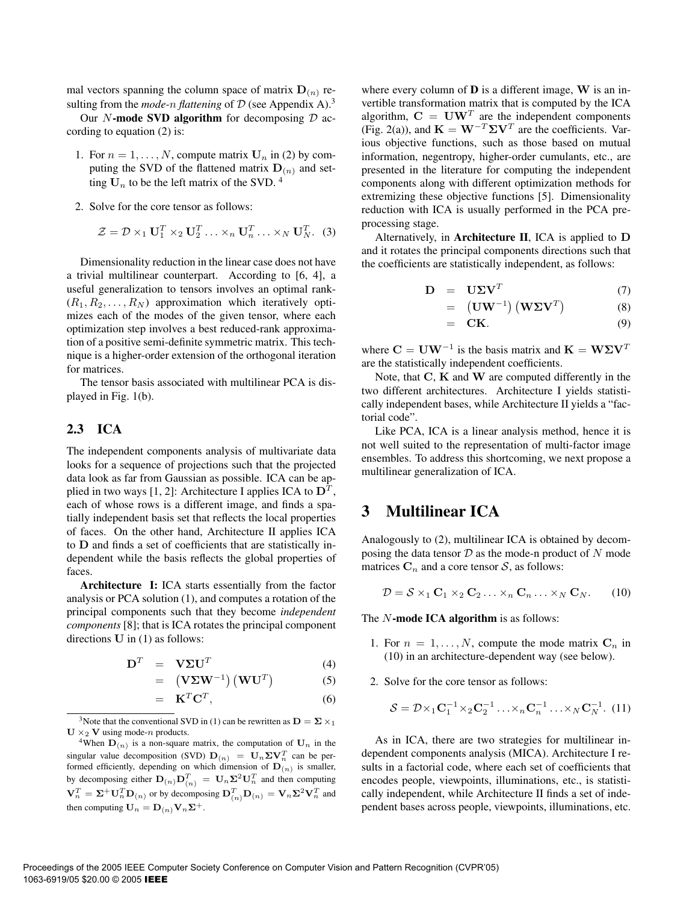mal vectors spanning the column space of matrix  $\mathbf{D}_{(n)}$  resulting from the *mode-n flattening* of  $D$  (see Appendix A).<sup>3</sup>

Our  $N$ -mode SVD algorithm for decomposing  $D$  according to equation (2) is:

- 1. For  $n = 1, \ldots, N$ , compute matrix  $U_n$  in (2) by computing the SVD of the flattened matrix  $\mathbf{D}_{(n)}$  and setting  $U_n$  to be the left matrix of the SVD.<sup>4</sup>
- 2. Solve for the core tensor as follows:

$$
\mathcal{Z} = \mathcal{D} \times_1 \mathbf{U}_1^T \times_2 \mathbf{U}_2^T \dots \times_n \mathbf{U}_n^T \dots \times_N \mathbf{U}_N^T.
$$
 (3)

Dimensionality reduction in the linear case does not have a trivial multilinear counterpart. According to [6, 4], a useful generalization to tensors involves an optimal rank-  $(R_1, R_2, \ldots, R_N)$  approximation which iteratively optimizes each of the modes of the given tensor, where each optimization step involves a best reduced-rank approximation of a positive semi-definite symmetric matrix. This technique is a higher-order extension of the orthogonal iteration for matrices.

The tensor basis associated with multilinear PCA is displayed in Fig. 1(b).

#### **2.3 ICA**

The independent components analysis of multivariate data looks for a sequence of projections such that the projected data look as far from Gaussian as possible. ICA can be applied in two ways [1, 2]: Architecture I applies ICA to  $D<sup>T</sup>$ , each of whose rows is a different image, and finds a spatially independent basis set that reflects the local properties of faces. On the other hand, Architecture II applies ICA to **D** and finds a set of coefficients that are statistically independent while the basis reflects the global properties of faces.

**Architecture I:** ICA starts essentially from the factor analysis or PCA solution (1), and computes a rotation of the principal components such that they become *independent components* [8]; that is ICA rotates the principal component directions **U** in (1) as follows:

$$
\mathbf{D}^T = \mathbf{V} \mathbf{\Sigma} \mathbf{U}^T \tag{4}
$$

$$
= (\mathbf{V} \Sigma \mathbf{W}^{-1}) (\mathbf{W} \mathbf{U}^T) \tag{5}
$$

$$
= \mathbf{K}^T \mathbf{C}^T, \tag{6}
$$

<sup>3</sup>Note that the conventional SVD in (1) can be rewritten as  $\mathbf{D} = \mathbf{\Sigma} \times_1 \mathbf{U} \times_2 \mathbf{V}$  using mode-*n* products.

<sup>4</sup>When  $\mathbf{D}_{(n)}$  is a non-square matrix, the computation of  $\mathbf{U}_n$  in the singular value decomposition (SVD)  $D(n) = U_n \Sigma V_n^T$  can be performed efficiently, depending on which dimension of  $D(n)$  is smaller, by decomposing either  $D(n)D_1^T$  =  $U_n \Sigma^2 U_n^T$  and then computing  $\mathbf{V}_n^T = \Sigma^+ \mathbf{U}_n^T \mathbf{D}_{(n)}$  or by decomposing  $\mathbf{D}_{(n)}^T \mathbf{D}_{(n)} = \mathbf{V}_n \Sigma^2 \mathbf{V}_n^T$  and then computing  $\mathbf{U}_n = \mathbf{D}_{(n)} \mathbf{V}_n \mathbf{\Sigma}^+$ .

where every column of **D** is a different image, **W** is an invertible transformation matrix that is computed by the ICA algorithm,  $C = UW<sup>T</sup>$  are the independent components (Fig. 2(a)), and  $\mathbf{K} = \mathbf{W}^{-T} \Sigma \mathbf{V}^{T}$  are the coefficients. Various objective functions, such as those based on mutual information, negentropy, higher-order cumulants, etc., are presented in the literature for computing the independent components along with different optimization methods for extremizing these objective functions [5]. Dimensionality reduction with ICA is usually performed in the PCA preprocessing stage.

Alternatively, in **Architecture II**, ICA is applied to **D** and it rotates the principal components directions such that the coefficients are statistically independent, as follows:

$$
\mathbf{D} = \mathbf{U} \mathbf{\Sigma} \mathbf{V}^T \tag{7}
$$

$$
= (\mathbf{U}\mathbf{W}^{-1}) (\mathbf{W}\mathbf{\Sigma}\mathbf{V}^T) \tag{8}
$$

$$
= \mathbf{CK}.\tag{9}
$$

where  $C = UW^{-1}$  is the basis matrix and  $K = W\Sigma V^T$ are the statistically independent coefficients.

Note, that **C**, **K** and **W** are computed differently in the two different architectures. Architecture I yields statistically independent bases, while Architecture II yields a "factorial code".

Like PCA, ICA is a linear analysis method, hence it is not well suited to the representation of multi-factor image ensembles. To address this shortcoming, we next propose a multilinear generalization of ICA.

### **3 Multilinear ICA**

Analogously to (2), multilinear ICA is obtained by decomposing the data tensor  $D$  as the mode-n product of N mode matrices  $C_n$  and a core tensor  $S$ , as follows:

$$
\mathcal{D} = \mathcal{S} \times_1 \mathbf{C}_1 \times_2 \mathbf{C}_2 \dots \times_n \mathbf{C}_n \dots \times_N \mathbf{C}_N.
$$
 (10)

The N**-mode ICA algorithm** is as follows:

- 1. For  $n = 1, \ldots, N$ , compute the mode matrix  $C_n$  in (10) in an architecture-dependent way (see below).
- 2. Solve for the core tensor as follows:

$$
\mathcal{S} = \mathcal{D} \times_1 \mathbf{C}_1^{-1} \times_2 \mathbf{C}_2^{-1} \dots \times_n \mathbf{C}_n^{-1} \dots \times_N \mathbf{C}_N^{-1}.
$$
 (11)

As in ICA, there are two strategies for multilinear independent components analysis (MICA). Architecture I results in a factorial code, where each set of coefficients that encodes people, viewpoints, illuminations, etc., is statistically independent, while Architecture II finds a set of independent bases across people, viewpoints, illuminations, etc.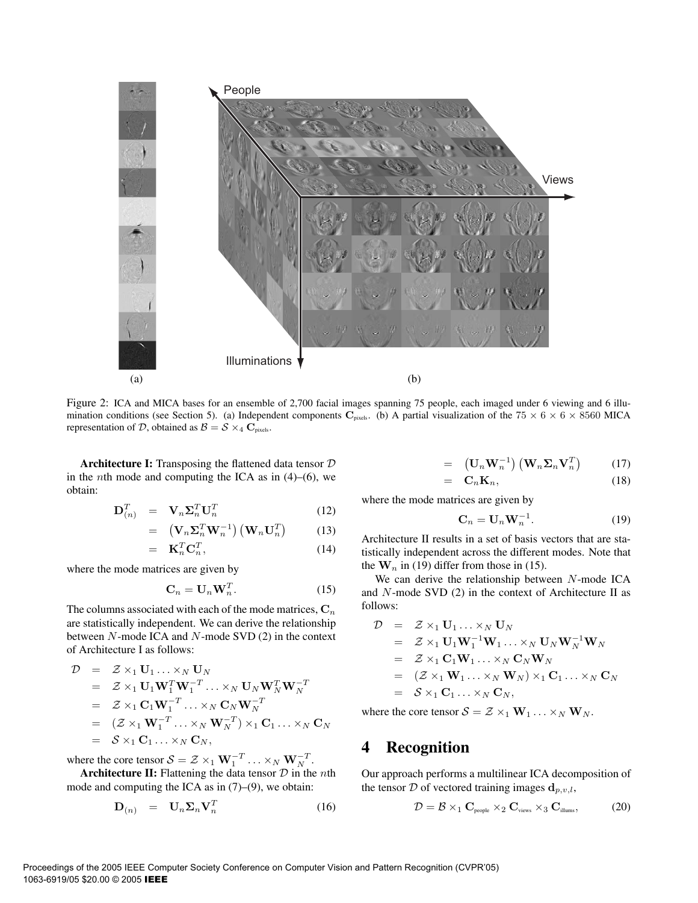

Figure 2: ICA and MICA bases for an ensemble of 2,700 facial images spanning 75 people, each imaged under 6 viewing and 6 illumination conditions (see Section 5). (a) Independent components  $\mathbf{C}_{\text{pixels}}$ . (b) A partial visualization of the 75  $\times$  6  $\times$  6  $\times$  8560 MICA representation of D, obtained as  $B = S \times_4 \mathbf{C}_{\text{pixels}}$ .

**Architecture I:** Transposing the flattened data tensor D in the *n*th mode and computing the ICA as in  $(4)$ – $(6)$ , we obtain:

$$
\mathbf{D}_{(n)}^T = \mathbf{V}_n \mathbf{\Sigma}_n^T \mathbf{U}_n^T \tag{12}
$$

$$
= (\mathbf{V}_n \Sigma_n^T \mathbf{W}_n^{-1}) (\mathbf{W}_n \mathbf{U}_n^T) \qquad (13)
$$

$$
= \mathbf{K}_n^T \mathbf{C}_n^T, \tag{14}
$$

where the mode matrices are given by

$$
\mathbf{C}_n = \mathbf{U}_n \mathbf{W}_n^T. \tag{15}
$$

The columns associated with each of the mode matrices,  $C_n$ are statistically independent. We can derive the relationship between N-mode ICA and N-mode SVD (2) in the context of Architecture I as follows:

$$
\begin{array}{rcl}\n\mathcal{D} & = & \mathcal{Z} \times_1 \mathbf{U}_1 \dots \times_N \mathbf{U}_N \\
& = & \mathcal{Z} \times_1 \mathbf{U}_1 \mathbf{W}_1^T \mathbf{W}_1^{-T} \dots \times_N \mathbf{U}_N \mathbf{W}_N^T \mathbf{W}_N^{-T} \\
& = & \mathcal{Z} \times_1 \mathbf{C}_1 \mathbf{W}_1^{-T} \dots \times_N \mathbf{C}_N \mathbf{W}_N^{-T} \\
& = & (\mathcal{Z} \times_1 \mathbf{W}_1^{-T} \dots \times_N \mathbf{W}_N^{-T}) \times_1 \mathbf{C}_1 \dots \times_N \mathbf{C}_N \\
& = & \mathcal{S} \times_1 \mathbf{C}_1 \dots \times_N \mathbf{C}_N,\n\end{array}
$$

where the core tensor  $S = \mathcal{Z} \times_1 \mathbf{W}_1^{-T} \dots \times_N \mathbf{W}_N^{-T}$ .

**Architecture II:** Flattening the data tensor  $D$  in the *nth* mode and computing the ICA as in  $(7)-(9)$ , we obtain:

$$
\mathbf{D}_{(n)} = \mathbf{U}_n \mathbf{\Sigma}_n \mathbf{V}_n^T
$$
 (16)

$$
= (\mathbf{U}_n \mathbf{W}_n^{-1}) (\mathbf{W}_n \mathbf{\Sigma}_n \mathbf{V}_n^T) \qquad (17)
$$

$$
= \mathbf{C}_n \mathbf{K}_n, \tag{18}
$$

where the mode matrices are given by

$$
\mathbf{C}_n = \mathbf{U}_n \mathbf{W}_n^{-1}.\tag{19}
$$

Architecture II results in a set of basis vectors that are statistically independent across the different modes. Note that the  $W_n$  in (19) differ from those in (15).

We can derive the relationship between N-mode ICA and N-mode SVD (2) in the context of Architecture II as follows:

$$
\begin{array}{rcl}\n\mathcal{D} & = & \mathcal{Z} \times_1 \mathbf{U}_1 \dots \times_N \mathbf{U}_N \\
& = & \mathcal{Z} \times_1 \mathbf{U}_1 \mathbf{W}_1^{-1} \mathbf{W}_1 \dots \times_N \mathbf{U}_N \mathbf{W}_N^{-1} \mathbf{W}_N \\
& = & \mathcal{Z} \times_1 \mathbf{C}_1 \mathbf{W}_1 \dots \times_N \mathbf{C}_N \mathbf{W}_N \\
& = & (\mathcal{Z} \times_1 \mathbf{W}_1 \dots \times_N \mathbf{W}_N) \times_1 \mathbf{C}_1 \dots \times_N \mathbf{C}_N \\
& = & \mathcal{S} \times_1 \mathbf{C}_1 \dots \times_N \mathbf{C}_N,\n\end{array}
$$

where the core tensor  $S = \mathcal{Z} \times_1 \mathbf{W}_1 \dots \times_N \mathbf{W}_N$ .

## **4 Recognition**

Our approach performs a multilinear ICA decomposition of the tensor  $D$  of vectored training images  $\mathbf{d}_{p,v,l}$ ,

$$
\mathcal{D} = \mathcal{B} \times_1 \mathbf{C}_{\text{people}} \times_2 \mathbf{C}_{\text{views}} \times_3 \mathbf{C}_{\text{illustr}},
$$
 (20)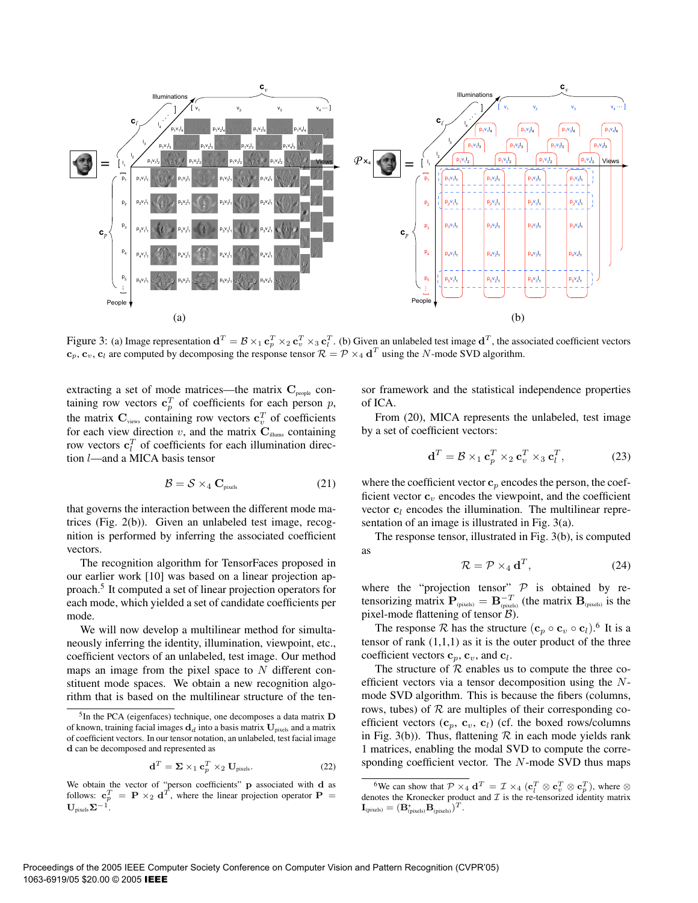

Figure 3: (a) Image representation  $\mathbf{d}^T = \mathcal{B} \times_1 \mathbf{c}_p^T \times_2 \mathbf{c}_v^T \times_3 \mathbf{c}_l^T$ . (b) Given an unlabeled test image  $\mathbf{d}^T$ , the associated coefficient vectors  $c_p$ ,  $c_v$ ,  $c_l$  are computed by decomposing the response tensor  $\mathcal{R} = \mathcal{P} \times_4 \mathbf{d}^T$  using the N-mode SVD algorithm.

extracting a set of mode matrices—the matrix  $C_{\text{people}}$  containing row vectors  $\mathbf{c}_p^T$  of coefficients for each person p, the matrix  $\mathbf{C}_{\text{views}}$  containing row vectors  $\mathbf{c}_v^T$  of coefficients for each view direction  $v$ , and the matrix  $C_{\text{illustr}}$  containing row vectors  $\mathbf{c}_i^T$  of coefficients for each illumination direction l—and a MICA basis tensor

$$
\mathcal{B} = \mathcal{S} \times_4 \mathbf{C}_{\text{pixels}} \tag{21}
$$

that governs the interaction between the different mode matrices (Fig. 2(b)). Given an unlabeled test image, recognition is performed by inferring the associated coefficient vectors.

The recognition algorithm for TensorFaces proposed in our earlier work [10] was based on a linear projection approach.<sup>5</sup> It computed a set of linear projection operators for each mode, which yielded a set of candidate coefficients per mode.

We will now develop a multilinear method for simultaneously inferring the identity, illumination, viewpoint, etc., coefficient vectors of an unlabeled, test image. Our method maps an image from the pixel space to  $N$  different constituent mode spaces. We obtain a new recognition algorithm that is based on the multilinear structure of the ten-

$$
\mathbf{d}^T = \mathbf{\Sigma} \times_1 \mathbf{c}_p^T \times_2 \mathbf{U}_{\text{pixels}}.
$$
 (22)

We obtain the vector of "person coefficients" **p** associated with **d** as follows: 
$$
\mathbf{c}_p^T = \mathbf{P} \times_2 \mathbf{d}^T
$$
, where the linear projection operator  $\mathbf{P} = \mathbf{U}_{\text{pixels}} \Sigma^{-1}$ .

sor framework and the statistical independence properties of ICA.

From (20), MICA represents the unlabeled, test image by a set of coefficient vectors:

$$
\mathbf{d}^T = \mathcal{B} \times_1 \mathbf{c}_p^T \times_2 \mathbf{c}_v^T \times_3 \mathbf{c}_l^T, \tag{23}
$$

where the coefficient vector  $\mathbf{c}_p$  encodes the person, the coefficient vector  $\mathbf{c}_v$  encodes the viewpoint, and the coefficient vector  $\mathbf{c}_l$  encodes the illumination. The multilinear representation of an image is illustrated in Fig. 3(a).

The response tensor, illustrated in Fig. 3(b), is computed as

$$
\mathcal{R} = \mathcal{P} \times_4 \mathbf{d}^T, \tag{24}
$$

where the "projection tensor"  $P$  is obtained by retensorizing matrix  $P_{\text{(pixels)}} = B^{-T}_{\text{(pixels)}}$  (the matrix  $B_{\text{(pixels)}}$  is the pixel-mode flattening of tensor  $B$ ).

The response R has the structure  $(c_p \circ c_v \circ c_l)$ .<sup>6</sup> It is a tensor of rank  $(1,1,1)$  as it is the outer product of the three coefficient vectors  $\mathbf{c}_p$ ,  $\mathbf{c}_v$ , and  $\mathbf{c}_l$ .

The structure of  $R$  enables us to compute the three coefficient vectors via a tensor decomposition using the Nmode SVD algorithm. This is because the fibers (columns, rows, tubes) of  $R$  are multiples of their corresponding coefficient vectors  $(c_p, c_v, c_l)$  (cf. the boxed rows/columns in Fig. 3(b)). Thus, flattening  $R$  in each mode yields rank 1 matrices, enabling the modal SVD to compute the corresponding coefficient vector. The N-mode SVD thus maps

 $\overline{5}$ In the PCA (eigenfaces) technique, one decomposes a data matrix  $\overline{D}$ of known, training facial images  $\mathbf{d}_d$  into a basis matrix  $\mathbf{U}_{\text{pixels}}$  and a matrix of coefficient vectors. In our tensor notation, an unlabeled, test facial image **d** can be decomposed and represented as

<sup>&</sup>lt;sup>6</sup>We can show that  $\mathcal{P} \times_4 \mathbf{d}^T = \mathcal{I} \times_4 (\mathbf{c}_l^T \otimes \mathbf{c}_v^T \otimes \mathbf{c}_p^T)$ , where  $\otimes$ denotes the Kronecker product and  $\mathcal I$  is the re-tensorized identity matrix  $\mathbf{I}_{\text{(pixels)}} = (\mathbf{B}_{\text{(pixels)}}^+ \mathbf{B}_{\text{(pixels)}})^T$ .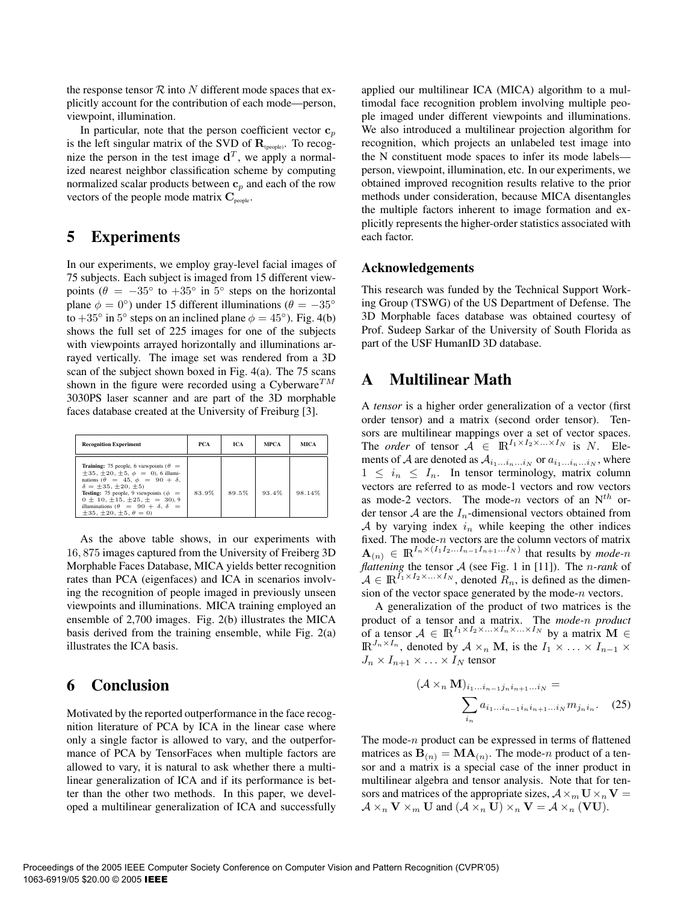the response tensor  $R$  into N different mode spaces that explicitly account for the contribution of each mode—person, viewpoint, illumination.

In particular, note that the person coefficient vector  $\mathbf{c}_p$ is the left singular matrix of the SVD of  $\mathbf{R}_{(people)}$ . To recognize the person in the test image  $\mathbf{d}^T$ , we apply a normalized nearest neighbor classification scheme by computing normalized scalar products between  $c_p$  and each of the row vectors of the people mode matrix  $C_{\text{people}}$ .

## **5 Experiments**

In our experiments, we employ gray-level facial images of 75 subjects. Each subject is imaged from 15 different viewpoints ( $\theta = -35^\circ$  to  $+35^\circ$  in 5° steps on the horizontal plane  $\phi = 0^{\circ}$ ) under 15 different illuminations ( $\theta = -35^{\circ}$ to +35° in 5° steps on an inclined plane  $\phi = 45^{\circ}$ ). Fig. 4(b) shows the full set of 225 images for one of the subjects with viewpoints arrayed horizontally and illuminations arrayed vertically. The image set was rendered from a 3D scan of the subject shown boxed in Fig. 4(a). The 75 scans shown in the figure were recorded using a Cyberware<sup>TM</sup> 3030PS laser scanner and are part of the 3D morphable faces database created at the University of Freiburg [3].

| <b>Recognition Experiment</b>                                                                                                                                                                                                                                                                                                                                                                  | PCA   | ICA   | MPCA  | MICA   |
|------------------------------------------------------------------------------------------------------------------------------------------------------------------------------------------------------------------------------------------------------------------------------------------------------------------------------------------------------------------------------------------------|-------|-------|-------|--------|
| <b>Training:</b> 75 people, 6 viewpoints ( $\theta =$<br>$\pm 35, \pm 20, \pm 5, \phi = 0$ ), 6 illumi-<br>nations ( $\theta = 45$ , $\phi = 90 + \delta$ ,<br>$\delta = \pm 35, \pm 20, \pm 5$<br><b>Testing:</b> 75 people, 9 viewpoints ( $\phi$ =<br>$0 \pm 10, \pm 15, \pm 25, \pm = 30, 9$<br>illuminations ( $\theta = 90 + \delta$ , $\delta =$<br>$\pm 35, \pm 20, \pm 5, \theta = 0$ | 83.9% | 89.5% | 93.4% | 98.14% |

As the above table shows, in our experiments with 16, 875 images captured from the University of Freiberg 3D Morphable Faces Database, MICA yields better recognition rates than PCA (eigenfaces) and ICA in scenarios involving the recognition of people imaged in previously unseen viewpoints and illuminations. MICA training employed an ensemble of 2,700 images. Fig. 2(b) illustrates the MICA basis derived from the training ensemble, while Fig. 2(a) illustrates the ICA basis.

## **6 Conclusion**

Motivated by the reported outperformance in the face recognition literature of PCA by ICA in the linear case where only a single factor is allowed to vary, and the outperformance of PCA by TensorFaces when multiple factors are allowed to vary, it is natural to ask whether there a multilinear generalization of ICA and if its performance is better than the other two methods. In this paper, we developed a multilinear generalization of ICA and successfully

applied our multilinear ICA (MICA) algorithm to a multimodal face recognition problem involving multiple people imaged under different viewpoints and illuminations. We also introduced a multilinear projection algorithm for recognition, which projects an unlabeled test image into the N constituent mode spaces to infer its mode labels person, viewpoint, illumination, etc. In our experiments, we obtained improved recognition results relative to the prior methods under consideration, because MICA disentangles the multiple factors inherent to image formation and explicitly represents the higher-order statistics associated with each factor.

#### **Acknowledgements**

This research was funded by the Technical Support Working Group (TSWG) of the US Department of Defense. The 3D Morphable faces database was obtained courtesy of Prof. Sudeep Sarkar of the University of South Florida as part of the USF HumanID 3D database.

## **A Multilinear Math**

A *tensor* is a higher order generalization of a vector (first order tensor) and a matrix (second order tensor). Tensors are multilinear mappings over a set of vector spaces. The *order* of tensor  $A \in \mathbb{R}^{I_1 \times I_2 \times ... \times I_N}$  is N. Elements of  $A$  are denoted as  $A_{i_1...i_n...i_N}$  or  $a_{i_1...i_n...i_N}$ , where  $1 \leq i_n \leq I_n$ . In tensor terminology, matrix column vectors are referred to as mode-1 vectors and row vectors as mode-2 vectors. The mode-n vectors of an  $N^{th}$  order tensor  $A$  are the  $I_n$ -dimensional vectors obtained from A by varying index  $i_n$  while keeping the other indices fixed. The mode- $n$  vectors are the column vectors of matrix  $\mathbf{A}_{(n)} \in \mathbb{R}^{I_n \times (I_1 I_2 \dots I_{n-1} I_{n+1} \dots I_N)}$  that results by *mode-n flattening* the tensor A (see Fig. 1 in [11]). The n*-rank* of  $\mathcal{A} \in \mathbb{R}^{I_1 \times I_2 \times \ldots \times I_N}$ , denoted  $R_n$ , is defined as the dimension of the vector space generated by the mode- $n$  vectors.

A generalization of the product of two matrices is the product of a tensor and a matrix. The *mode-*n *product* of a tensor  $A \in \mathbb{R}^{I_1 \times I_2 \times \ldots \times I_n \times \ldots \times I_N}$  by a matrix  $\mathbf{M} \in \mathbb{R}^{I_1 \times I_2 \times \ldots \times I_N}$  $\mathbb{R}^{J_n \times I_n}$ , denoted by  $A \times_n \mathbf{M}$ , is the  $I_1 \times \ldots \times I_{n-1} \times$  $J_n \times I_{n+1} \times \ldots \times I_N$  tensor

$$
(\mathcal{A} \times_n \mathbf{M})_{i_1...i_{n-1}j_n i_{n+1}...i_N} = \sum_{i_n} a_{i_1...i_{n-1}i_n i_{n+1}...i_N} m_{j_n i_n}.
$$
 (25)

The mode- $n$  product can be expressed in terms of flattened matrices as  $\mathbf{B}_{(n)} = \mathbf{M}\mathbf{A}_{(n)}$ . The mode-n product of a tensor and a matrix is a special case of the inner product in multilinear algebra and tensor analysis. Note that for tensors and matrices of the appropriate sizes,  $A \times_m U \times_n V =$  $\mathcal{A} \times_n \mathbf{V} \times_m \mathbf{U}$  and  $(\mathcal{A} \times_n \mathbf{U}) \times_n \mathbf{V} = \mathcal{A} \times_n (\mathbf{VU}).$